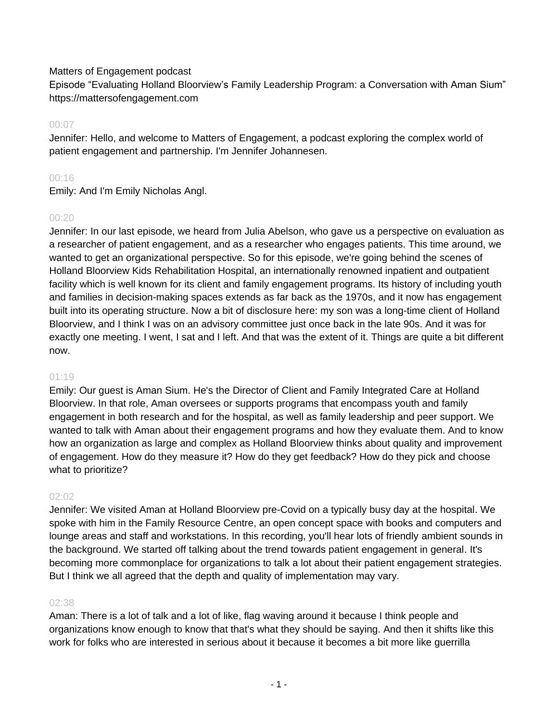# Matters of Engagement podcast

Episode "Evaluating Holland Bloorview's Family Leadership Program: a Conversation with Aman Sium" https://mattersofengagement.com

# 00:07

Jennifer: Hello, and welcome to Matters of Engagement, a podcast exploring the complex world of patient engagement and partnership. I'm Jennifer Johannesen.

# 00:16

Emily: And I'm Emily Nicholas Angl.

# $00.20$

Jennifer: In our last episode, we heard from Julia Abelson, who gave us a perspective on evaluation as a researcher of patient engagement, and as a researcher who engages patients. This time around, we wanted to get an organizational perspective. So for this episode, we're going behind the scenes of Holland Bloorview Kids Rehabilitation Hospital, an internationally renowned inpatient and outpatient facility which is well known for its client and family engagement programs. Its history of including youth and families in decision-making spaces extends as far back as the 1970s, and it now has engagement built into its operating structure. Now a bit of disclosure here: my son was a long-time client of Holland Bloorview, and I think I was on an advisory committee just once back in the late 90s. And it was for exactly one meeting. I went, I sat and I left. And that was the extent of it. Things are quite a bit different now.

# 01:19

Emily: Our guest is Aman Sium. He's the Director of Client and Family Integrated Care at Holland Bloorview. In that role, Aman oversees or supports programs that encompass youth and family engagement in both research and for the hospital, as well as family leadership and peer support. We wanted to talk with Aman about their engagement programs and how they evaluate them. And to know how an organization as large and complex as Holland Bloorview thinks about quality and improvement of engagement. How do they measure it? How do they get feedback? How do they pick and choose what to prioritize?

# 02:02

Jennifer: We visited Aman at Holland Bloorview pre-Covid on a typically busy day at the hospital. We spoke with him in the Family Resource Centre, an open concept space with books and computers and lounge areas and staff and workstations. In this recording, you'll hear lots of friendly ambient sounds in the background. We started off talking about the trend towards patient engagement in general. It's becoming more commonplace for organizations to talk a lot about their patient engagement strategies. But I think we all agreed that the depth and quality of implementation may vary.

# 02:38

Aman: There is a lot of talk and a lot of like, flag waving around it because I think people and organizations know enough to know that that's what they should be saying. And then it shifts like this work for folks who are interested in serious about it because it becomes a bit more like guerrilla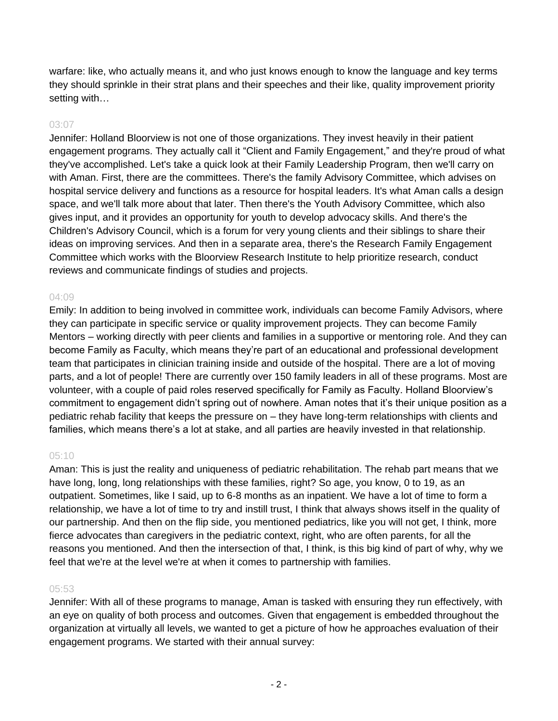warfare: like, who actually means it, and who just knows enough to know the language and key terms they should sprinkle in their strat plans and their speeches and their like, quality improvement priority setting with…

# 03:07

Jennifer: Holland Bloorview is not one of those organizations. They invest heavily in their patient engagement programs. They actually call it "Client and Family Engagement," and they're proud of what they've accomplished. Let's take a quick look at their Family Leadership Program, then we'll carry on with Aman. First, there are the committees. There's the family Advisory Committee, which advises on hospital service delivery and functions as a resource for hospital leaders. It's what Aman calls a design space, and we'll talk more about that later. Then there's the Youth Advisory Committee, which also gives input, and it provides an opportunity for youth to develop advocacy skills. And there's the Children's Advisory Council, which is a forum for very young clients and their siblings to share their ideas on improving services. And then in a separate area, there's the Research Family Engagement Committee which works with the Bloorview Research Institute to help prioritize research, conduct reviews and communicate findings of studies and projects.

#### 04:09

Emily: In addition to being involved in committee work, individuals can become Family Advisors, where they can participate in specific service or quality improvement projects. They can become Family Mentors – working directly with peer clients and families in a supportive or mentoring role. And they can become Family as Faculty, which means they're part of an educational and professional development team that participates in clinician training inside and outside of the hospital. There are a lot of moving parts, and a lot of people! There are currently over 150 family leaders in all of these programs. Most are volunteer, with a couple of paid roles reserved specifically for Family as Faculty. Holland Bloorview's commitment to engagement didn't spring out of nowhere. Aman notes that it's their unique position as a pediatric rehab facility that keeps the pressure on – they have long-term relationships with clients and families, which means there's a lot at stake, and all parties are heavily invested in that relationship.

# 05:10

Aman: This is just the reality and uniqueness of pediatric rehabilitation. The rehab part means that we have long, long, long relationships with these families, right? So age, you know, 0 to 19, as an outpatient. Sometimes, like I said, up to 6-8 months as an inpatient. We have a lot of time to form a relationship, we have a lot of time to try and instill trust, I think that always shows itself in the quality of our partnership. And then on the flip side, you mentioned pediatrics, like you will not get, I think, more fierce advocates than caregivers in the pediatric context, right, who are often parents, for all the reasons you mentioned. And then the intersection of that, I think, is this big kind of part of why, why we feel that we're at the level we're at when it comes to partnership with families.

#### 05:53

Jennifer: With all of these programs to manage, Aman is tasked with ensuring they run effectively, with an eye on quality of both process and outcomes. Given that engagement is embedded throughout the organization at virtually all levels, we wanted to get a picture of how he approaches evaluation of their engagement programs. We started with their annual survey: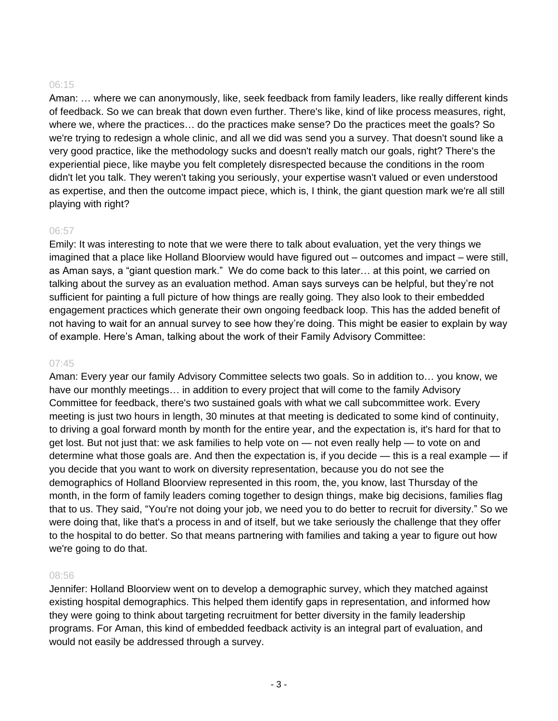Aman: … where we can anonymously, like, seek feedback from family leaders, like really different kinds of feedback. So we can break that down even further. There's like, kind of like process measures, right, where we, where the practices… do the practices make sense? Do the practices meet the goals? So we're trying to redesign a whole clinic, and all we did was send you a survey. That doesn't sound like a very good practice, like the methodology sucks and doesn't really match our goals, right? There's the experiential piece, like maybe you felt completely disrespected because the conditions in the room didn't let you talk. They weren't taking you seriously, your expertise wasn't valued or even understood as expertise, and then the outcome impact piece, which is, I think, the giant question mark we're all still playing with right?

# 06:57

Emily: It was interesting to note that we were there to talk about evaluation, yet the very things we imagined that a place like Holland Bloorview would have figured out – outcomes and impact – were still, as Aman says, a "giant question mark." We do come back to this later… at this point, we carried on talking about the survey as an evaluation method. Aman says surveys can be helpful, but they're not sufficient for painting a full picture of how things are really going. They also look to their embedded engagement practices which generate their own ongoing feedback loop. This has the added benefit of not having to wait for an annual survey to see how they're doing. This might be easier to explain by way of example. Here's Aman, talking about the work of their Family Advisory Committee:

#### 07:45

Aman: Every year our family Advisory Committee selects two goals. So in addition to… you know, we have our monthly meetings... in addition to every project that will come to the family Advisory Committee for feedback, there's two sustained goals with what we call subcommittee work. Every meeting is just two hours in length, 30 minutes at that meeting is dedicated to some kind of continuity, to driving a goal forward month by month for the entire year, and the expectation is, it's hard for that to get lost. But not just that: we ask families to help vote on — not even really help — to vote on and determine what those goals are. And then the expectation is, if you decide — this is a real example — if you decide that you want to work on diversity representation, because you do not see the demographics of Holland Bloorview represented in this room, the, you know, last Thursday of the month, in the form of family leaders coming together to design things, make big decisions, families flag that to us. They said, "You're not doing your job, we need you to do better to recruit for diversity." So we were doing that, like that's a process in and of itself, but we take seriously the challenge that they offer to the hospital to do better. So that means partnering with families and taking a year to figure out how we're going to do that.

#### 08:56

Jennifer: Holland Bloorview went on to develop a demographic survey, which they matched against existing hospital demographics. This helped them identify gaps in representation, and informed how they were going to think about targeting recruitment for better diversity in the family leadership programs. For Aman, this kind of embedded feedback activity is an integral part of evaluation, and would not easily be addressed through a survey.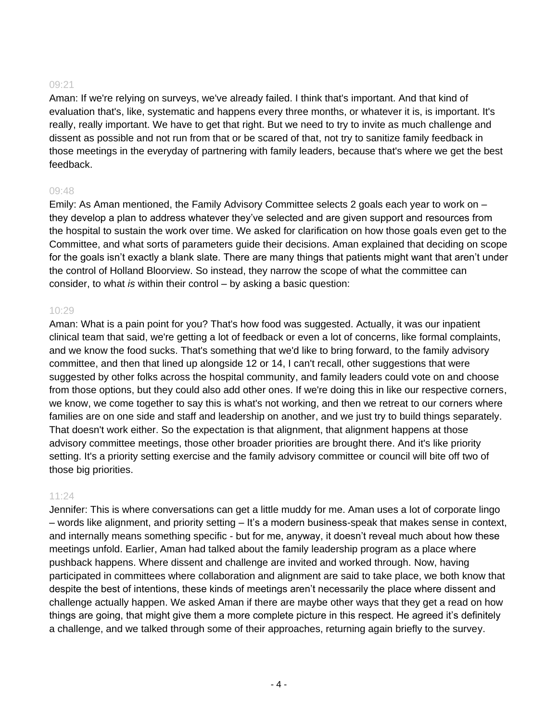Aman: If we're relying on surveys, we've already failed. I think that's important. And that kind of evaluation that's, like, systematic and happens every three months, or whatever it is, is important. It's really, really important. We have to get that right. But we need to try to invite as much challenge and dissent as possible and not run from that or be scared of that, not try to sanitize family feedback in those meetings in the everyday of partnering with family leaders, because that's where we get the best feedback.

#### 09:48

Emily: As Aman mentioned, the Family Advisory Committee selects 2 goals each year to work on – they develop a plan to address whatever they've selected and are given support and resources from the hospital to sustain the work over time. We asked for clarification on how those goals even get to the Committee, and what sorts of parameters guide their decisions. Aman explained that deciding on scope for the goals isn't exactly a blank slate. There are many things that patients might want that aren't under the control of Holland Bloorview. So instead, they narrow the scope of what the committee can consider, to what *is* within their control – by asking a basic question:

#### 10:29

Aman: What is a pain point for you? That's how food was suggested. Actually, it was our inpatient clinical team that said, we're getting a lot of feedback or even a lot of concerns, like formal complaints, and we know the food sucks. That's something that we'd like to bring forward, to the family advisory committee, and then that lined up alongside 12 or 14, I can't recall, other suggestions that were suggested by other folks across the hospital community, and family leaders could vote on and choose from those options, but they could also add other ones. If we're doing this in like our respective corners, we know, we come together to say this is what's not working, and then we retreat to our corners where families are on one side and staff and leadership on another, and we just try to build things separately. That doesn't work either. So the expectation is that alignment, that alignment happens at those advisory committee meetings, those other broader priorities are brought there. And it's like priority setting. It's a priority setting exercise and the family advisory committee or council will bite off two of those big priorities.

# 11:24

Jennifer: This is where conversations can get a little muddy for me. Aman uses a lot of corporate lingo – words like alignment, and priority setting – It's a modern business-speak that makes sense in context, and internally means something specific - but for me, anyway, it doesn't reveal much about how these meetings unfold. Earlier, Aman had talked about the family leadership program as a place where pushback happens. Where dissent and challenge are invited and worked through. Now, having participated in committees where collaboration and alignment are said to take place, we both know that despite the best of intentions, these kinds of meetings aren't necessarily the place where dissent and challenge actually happen. We asked Aman if there are maybe other ways that they get a read on how things are going, that might give them a more complete picture in this respect. He agreed it's definitely a challenge, and we talked through some of their approaches, returning again briefly to the survey.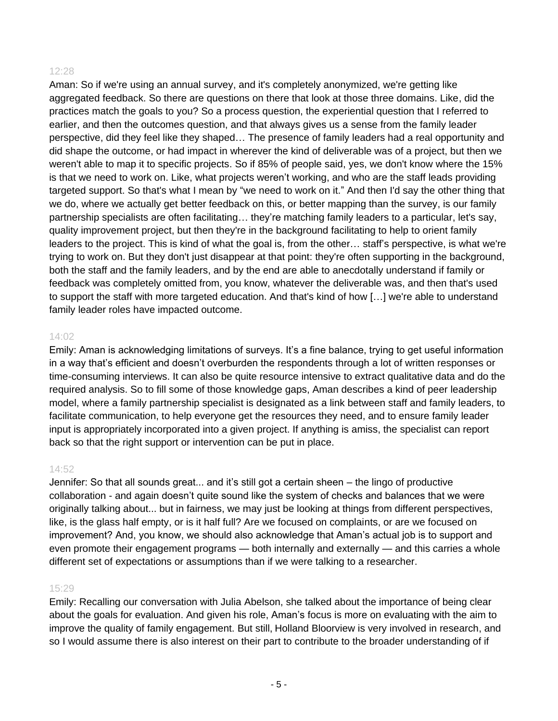Aman: So if we're using an annual survey, and it's completely anonymized, we're getting like aggregated feedback. So there are questions on there that look at those three domains. Like, did the practices match the goals to you? So a process question, the experiential question that I referred to earlier, and then the outcomes question, and that always gives us a sense from the family leader perspective, did they feel like they shaped… The presence of family leaders had a real opportunity and did shape the outcome, or had impact in wherever the kind of deliverable was of a project, but then we weren't able to map it to specific projects. So if 85% of people said, yes, we don't know where the 15% is that we need to work on. Like, what projects weren't working, and who are the staff leads providing targeted support. So that's what I mean by "we need to work on it." And then I'd say the other thing that we do, where we actually get better feedback on this, or better mapping than the survey, is our family partnership specialists are often facilitating… they're matching family leaders to a particular, let's say, quality improvement project, but then they're in the background facilitating to help to orient family leaders to the project. This is kind of what the goal is, from the other… staff's perspective, is what we're trying to work on. But they don't just disappear at that point: they're often supporting in the background, both the staff and the family leaders, and by the end are able to anecdotally understand if family or feedback was completely omitted from, you know, whatever the deliverable was, and then that's used to support the staff with more targeted education. And that's kind of how […] we're able to understand family leader roles have impacted outcome.

#### 14:02

Emily: Aman is acknowledging limitations of surveys. It's a fine balance, trying to get useful information in a way that's efficient and doesn't overburden the respondents through a lot of written responses or time-consuming interviews. It can also be quite resource intensive to extract qualitative data and do the required analysis. So to fill some of those knowledge gaps, Aman describes a kind of peer leadership model, where a family partnership specialist is designated as a link between staff and family leaders, to facilitate communication, to help everyone get the resources they need, and to ensure family leader input is appropriately incorporated into a given project. If anything is amiss, the specialist can report back so that the right support or intervention can be put in place.

#### 14:52

Jennifer: So that all sounds great... and it's still got a certain sheen – the lingo of productive collaboration - and again doesn't quite sound like the system of checks and balances that we were originally talking about... but in fairness, we may just be looking at things from different perspectives, like, is the glass half empty, or is it half full? Are we focused on complaints, or are we focused on improvement? And, you know, we should also acknowledge that Aman's actual job is to support and even promote their engagement programs — both internally and externally — and this carries a whole different set of expectations or assumptions than if we were talking to a researcher.

# 15:29

Emily: Recalling our conversation with Julia Abelson, she talked about the importance of being clear about the goals for evaluation. And given his role, Aman's focus is more on evaluating with the aim to improve the quality of family engagement. But still, Holland Bloorview is very involved in research, and so I would assume there is also interest on their part to contribute to the broader understanding of if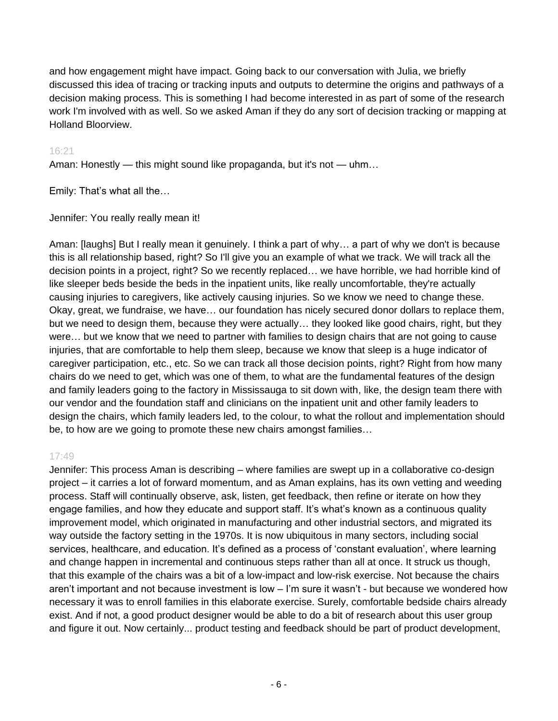and how engagement might have impact. Going back to our conversation with Julia, we briefly discussed this idea of tracing or tracking inputs and outputs to determine the origins and pathways of a decision making process. This is something I had become interested in as part of some of the research work I'm involved with as well. So we asked Aman if they do any sort of decision tracking or mapping at Holland Bloorview.

# 16:21

Aman: Honestly — this might sound like propaganda, but it's not — uhm…

Emily: That's what all the…

# Jennifer: You really really mean it!

Aman: [laughs] But I really mean it genuinely. I think a part of why… a part of why we don't is because this is all relationship based, right? So I'll give you an example of what we track. We will track all the decision points in a project, right? So we recently replaced… we have horrible, we had horrible kind of like sleeper beds beside the beds in the inpatient units, like really uncomfortable, they're actually causing injuries to caregivers, like actively causing injuries. So we know we need to change these. Okay, great, we fundraise, we have… our foundation has nicely secured donor dollars to replace them, but we need to design them, because they were actually… they looked like good chairs, right, but they were… but we know that we need to partner with families to design chairs that are not going to cause injuries, that are comfortable to help them sleep, because we know that sleep is a huge indicator of caregiver participation, etc., etc. So we can track all those decision points, right? Right from how many chairs do we need to get, which was one of them, to what are the fundamental features of the design and family leaders going to the factory in Mississauga to sit down with, like, the design team there with our vendor and the foundation staff and clinicians on the inpatient unit and other family leaders to design the chairs, which family leaders led, to the colour, to what the rollout and implementation should be, to how are we going to promote these new chairs amongst families…

# 17:49

Jennifer: This process Aman is describing – where families are swept up in a collaborative co-design project – it carries a lot of forward momentum, and as Aman explains, has its own vetting and weeding process. Staff will continually observe, ask, listen, get feedback, then refine or iterate on how they engage families, and how they educate and support staff. It's what's known as a continuous quality improvement model, which originated in manufacturing and other industrial sectors, and migrated its way outside the factory setting in the 1970s. It is now ubiquitous in many sectors, including social services, healthcare, and education. It's defined as a process of 'constant evaluation', where learning and change happen in incremental and continuous steps rather than all at once. It struck us though, that this example of the chairs was a bit of a low-impact and low-risk exercise. Not because the chairs aren't important and not because investment is low – I'm sure it wasn't - but because we wondered how necessary it was to enroll families in this elaborate exercise. Surely, comfortable bedside chairs already exist. And if not, a good product designer would be able to do a bit of research about this user group and figure it out. Now certainly... product testing and feedback should be part of product development,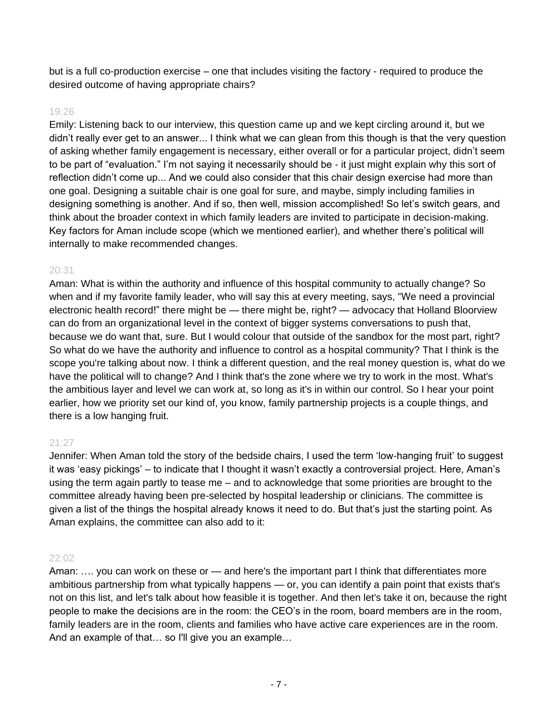but is a full co-production exercise – one that includes visiting the factory - required to produce the desired outcome of having appropriate chairs?

#### 19:26

Emily: Listening back to our interview, this question came up and we kept circling around it, but we didn't really ever get to an answer... I think what we can glean from this though is that the very question of asking whether family engagement is necessary, either overall or for a particular project, didn't seem to be part of "evaluation." I'm not saying it necessarily should be - it just might explain why this sort of reflection didn't come up... And we could also consider that this chair design exercise had more than one goal. Designing a suitable chair is one goal for sure, and maybe, simply including families in designing something is another. And if so, then well, mission accomplished! So let's switch gears, and think about the broader context in which family leaders are invited to participate in decision-making. Key factors for Aman include scope (which we mentioned earlier), and whether there's political will internally to make recommended changes.

# 20:31

Aman: What is within the authority and influence of this hospital community to actually change? So when and if my favorite family leader, who will say this at every meeting, says, "We need a provincial electronic health record!" there might be — there might be, right? — advocacy that Holland Bloorview can do from an organizational level in the context of bigger systems conversations to push that, because we do want that, sure. But I would colour that outside of the sandbox for the most part, right? So what do we have the authority and influence to control as a hospital community? That I think is the scope you're talking about now. I think a different question, and the real money question is, what do we have the political will to change? And I think that's the zone where we try to work in the most. What's the ambitious layer and level we can work at, so long as it's in within our control. So I hear your point earlier, how we priority set our kind of, you know, family partnership projects is a couple things, and there is a low hanging fruit.

# 21:27

Jennifer: When Aman told the story of the bedside chairs, I used the term 'low-hanging fruit' to suggest it was 'easy pickings' – to indicate that I thought it wasn't exactly a controversial project. Here, Aman's using the term again partly to tease me – and to acknowledge that some priorities are brought to the committee already having been pre-selected by hospital leadership or clinicians. The committee is given a list of the things the hospital already knows it need to do. But that's just the starting point. As Aman explains, the committee can also add to it:

#### 22:02

Aman: .... you can work on these or — and here's the important part I think that differentiates more ambitious partnership from what typically happens — or, you can identify a pain point that exists that's not on this list, and let's talk about how feasible it is together. And then let's take it on, because the right people to make the decisions are in the room: the CEO's in the room, board members are in the room, family leaders are in the room, clients and families who have active care experiences are in the room. And an example of that… so I'll give you an example…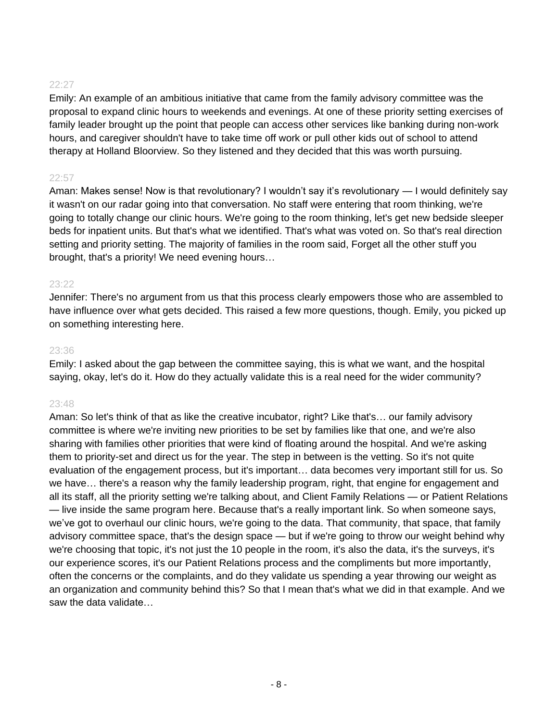Emily: An example of an ambitious initiative that came from the family advisory committee was the proposal to expand clinic hours to weekends and evenings. At one of these priority setting exercises of family leader brought up the point that people can access other services like banking during non-work hours, and caregiver shouldn't have to take time off work or pull other kids out of school to attend therapy at Holland Bloorview. So they listened and they decided that this was worth pursuing.

# 22:57

Aman: Makes sense! Now is that revolutionary? I wouldn't say it's revolutionary — I would definitely say it wasn't on our radar going into that conversation. No staff were entering that room thinking, we're going to totally change our clinic hours. We're going to the room thinking, let's get new bedside sleeper beds for inpatient units. But that's what we identified. That's what was voted on. So that's real direction setting and priority setting. The majority of families in the room said, Forget all the other stuff you brought, that's a priority! We need evening hours…

#### 23:22

Jennifer: There's no argument from us that this process clearly empowers those who are assembled to have influence over what gets decided. This raised a few more questions, though. Emily, you picked up on something interesting here.

#### 23:36

Emily: I asked about the gap between the committee saying, this is what we want, and the hospital saying, okay, let's do it. How do they actually validate this is a real need for the wider community?

# 23:48

Aman: So let's think of that as like the creative incubator, right? Like that's… our family advisory committee is where we're inviting new priorities to be set by families like that one, and we're also sharing with families other priorities that were kind of floating around the hospital. And we're asking them to priority-set and direct us for the year. The step in between is the vetting. So it's not quite evaluation of the engagement process, but it's important… data becomes very important still for us. So we have… there's a reason why the family leadership program, right, that engine for engagement and all its staff, all the priority setting we're talking about, and Client Family Relations — or Patient Relations — live inside the same program here. Because that's a really important link. So when someone says, we've got to overhaul our clinic hours, we're going to the data. That community, that space, that family advisory committee space, that's the design space — but if we're going to throw our weight behind why we're choosing that topic, it's not just the 10 people in the room, it's also the data, it's the surveys, it's our experience scores, it's our Patient Relations process and the compliments but more importantly, often the concerns or the complaints, and do they validate us spending a year throwing our weight as an organization and community behind this? So that I mean that's what we did in that example. And we saw the data validate…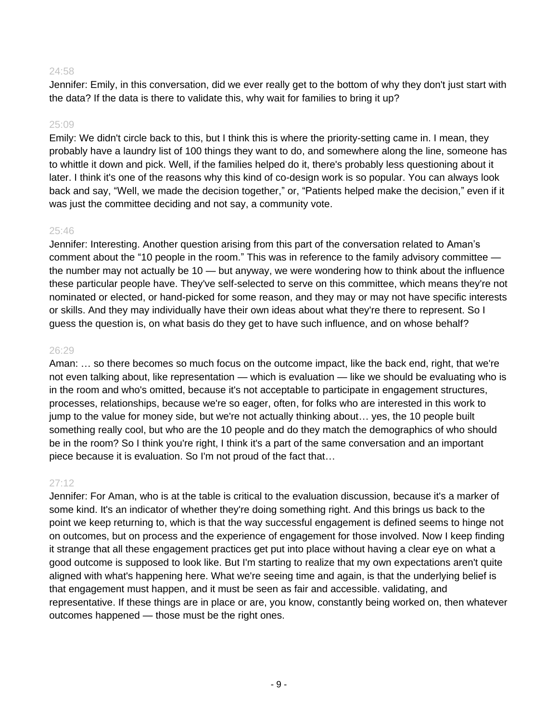Jennifer: Emily, in this conversation, did we ever really get to the bottom of why they don't just start with the data? If the data is there to validate this, why wait for families to bring it up?

#### 25:09

Emily: We didn't circle back to this, but I think this is where the priority-setting came in. I mean, they probably have a laundry list of 100 things they want to do, and somewhere along the line, someone has to whittle it down and pick. Well, if the families helped do it, there's probably less questioning about it later. I think it's one of the reasons why this kind of co-design work is so popular. You can always look back and say, "Well, we made the decision together," or, "Patients helped make the decision," even if it was just the committee deciding and not say, a community vote.

# 25:46

Jennifer: Interesting. Another question arising from this part of the conversation related to Aman's comment about the "10 people in the room." This was in reference to the family advisory committee the number may not actually be 10 — but anyway, we were wondering how to think about the influence these particular people have. They've self-selected to serve on this committee, which means they're not nominated or elected, or hand-picked for some reason, and they may or may not have specific interests or skills. And they may individually have their own ideas about what they're there to represent. So I guess the question is, on what basis do they get to have such influence, and on whose behalf?

#### 26:29

Aman: … so there becomes so much focus on the outcome impact, like the back end, right, that we're not even talking about, like representation — which is evaluation — like we should be evaluating who is in the room and who's omitted, because it's not acceptable to participate in engagement structures, processes, relationships, because we're so eager, often, for folks who are interested in this work to jump to the value for money side, but we're not actually thinking about… yes, the 10 people built something really cool, but who are the 10 people and do they match the demographics of who should be in the room? So I think you're right, I think it's a part of the same conversation and an important piece because it is evaluation. So I'm not proud of the fact that…

# 27:12

Jennifer: For Aman, who is at the table is critical to the evaluation discussion, because it's a marker of some kind. It's an indicator of whether they're doing something right. And this brings us back to the point we keep returning to, which is that the way successful engagement is defined seems to hinge not on outcomes, but on process and the experience of engagement for those involved. Now I keep finding it strange that all these engagement practices get put into place without having a clear eye on what a good outcome is supposed to look like. But I'm starting to realize that my own expectations aren't quite aligned with what's happening here. What we're seeing time and again, is that the underlying belief is that engagement must happen, and it must be seen as fair and accessible. validating, and representative. If these things are in place or are, you know, constantly being worked on, then whatever outcomes happened — those must be the right ones.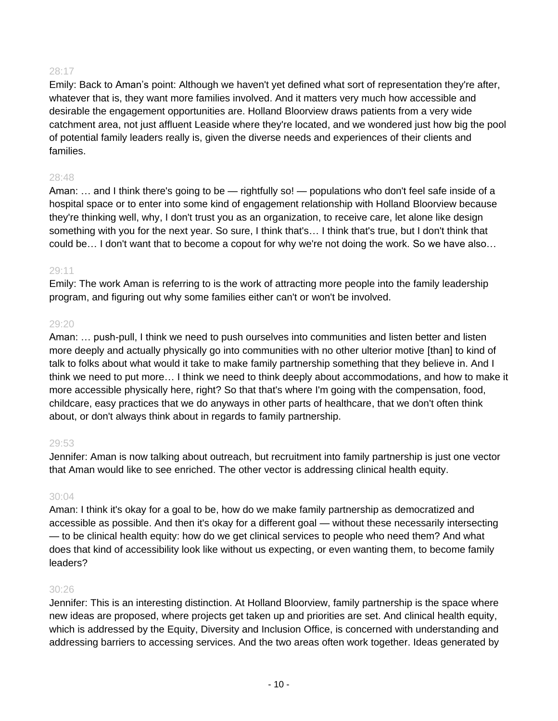Emily: Back to Aman's point: Although we haven't yet defined what sort of representation they're after, whatever that is, they want more families involved. And it matters very much how accessible and desirable the engagement opportunities are. Holland Bloorview draws patients from a very wide catchment area, not just affluent Leaside where they're located, and we wondered just how big the pool of potential family leaders really is, given the diverse needs and experiences of their clients and families.

# 28:48

Aman: ... and I think there's going to be — rightfully so! — populations who don't feel safe inside of a hospital space or to enter into some kind of engagement relationship with Holland Bloorview because they're thinking well, why, I don't trust you as an organization, to receive care, let alone like design something with you for the next year. So sure, I think that's… I think that's true, but I don't think that could be… I don't want that to become a copout for why we're not doing the work. So we have also…

# 29:11

Emily: The work Aman is referring to is the work of attracting more people into the family leadership program, and figuring out why some families either can't or won't be involved.

# 29:20

Aman: ... push-pull, I think we need to push ourselves into communities and listen better and listen more deeply and actually physically go into communities with no other ulterior motive [than] to kind of talk to folks about what would it take to make family partnership something that they believe in. And I think we need to put more… I think we need to think deeply about accommodations, and how to make it more accessible physically here, right? So that that's where I'm going with the compensation, food, childcare, easy practices that we do anyways in other parts of healthcare, that we don't often think about, or don't always think about in regards to family partnership.

# 29:53

Jennifer: Aman is now talking about outreach, but recruitment into family partnership is just one vector that Aman would like to see enriched. The other vector is addressing clinical health equity.

# 30:04

Aman: I think it's okay for a goal to be, how do we make family partnership as democratized and accessible as possible. And then it's okay for a different goal — without these necessarily intersecting — to be clinical health equity: how do we get clinical services to people who need them? And what does that kind of accessibility look like without us expecting, or even wanting them, to become family leaders?

# 30:26

Jennifer: This is an interesting distinction. At Holland Bloorview, family partnership is the space where new ideas are proposed, where projects get taken up and priorities are set. And clinical health equity, which is addressed by the Equity, Diversity and Inclusion Office, is concerned with understanding and addressing barriers to accessing services. And the two areas often work together. Ideas generated by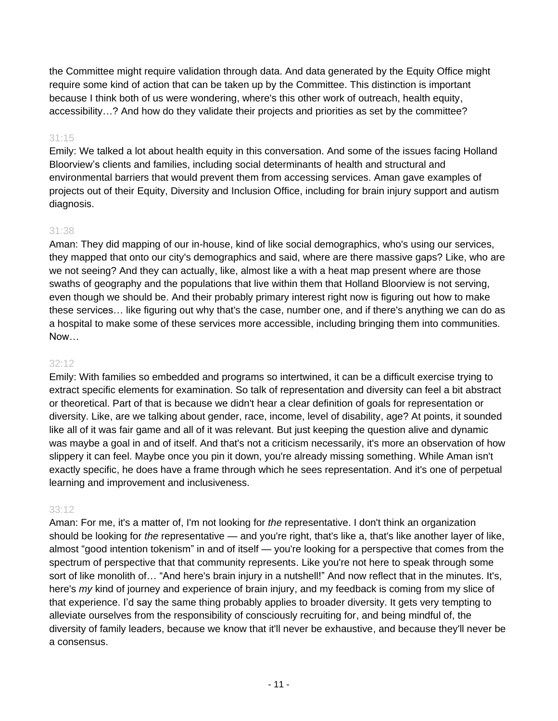the Committee might require validation through data. And data generated by the Equity Office might require some kind of action that can be taken up by the Committee. This distinction is important because I think both of us were wondering, where's this other work of outreach, health equity, accessibility…? And how do they validate their projects and priorities as set by the committee?

# 31:15

Emily: We talked a lot about health equity in this conversation. And some of the issues facing Holland Bloorview's clients and families, including social determinants of health and structural and environmental barriers that would prevent them from accessing services. Aman gave examples of projects out of their Equity, Diversity and Inclusion Office, including for brain injury support and autism diagnosis.

# 31:38

Aman: They did mapping of our in-house, kind of like social demographics, who's using our services, they mapped that onto our city's demographics and said, where are there massive gaps? Like, who are we not seeing? And they can actually, like, almost like a with a heat map present where are those swaths of geography and the populations that live within them that Holland Bloorview is not serving, even though we should be. And their probably primary interest right now is figuring out how to make these services… like figuring out why that's the case, number one, and if there's anything we can do as a hospital to make some of these services more accessible, including bringing them into communities. Now…

#### 32:12

Emily: With families so embedded and programs so intertwined, it can be a difficult exercise trying to extract specific elements for examination. So talk of representation and diversity can feel a bit abstract or theoretical. Part of that is because we didn't hear a clear definition of goals for representation or diversity. Like, are we talking about gender, race, income, level of disability, age? At points, it sounded like all of it was fair game and all of it was relevant. But just keeping the question alive and dynamic was maybe a goal in and of itself. And that's not a criticism necessarily, it's more an observation of how slippery it can feel. Maybe once you pin it down, you're already missing something. While Aman isn't exactly specific, he does have a frame through which he sees representation. And it's one of perpetual learning and improvement and inclusiveness.

# 33:12

Aman: For me, it's a matter of, I'm not looking for *the* representative. I don't think an organization should be looking for *the* representative — and you're right, that's like a, that's like another layer of like, almost "good intention tokenism" in and of itself — you're looking for a perspective that comes from the spectrum of perspective that that community represents. Like you're not here to speak through some sort of like monolith of… "And here's brain injury in a nutshell!" And now reflect that in the minutes. It's, here's *my* kind of journey and experience of brain injury, and my feedback is coming from my slice of that experience. I'd say the same thing probably applies to broader diversity. It gets very tempting to alleviate ourselves from the responsibility of consciously recruiting for, and being mindful of, the diversity of family leaders, because we know that it'll never be exhaustive, and because they'll never be a consensus.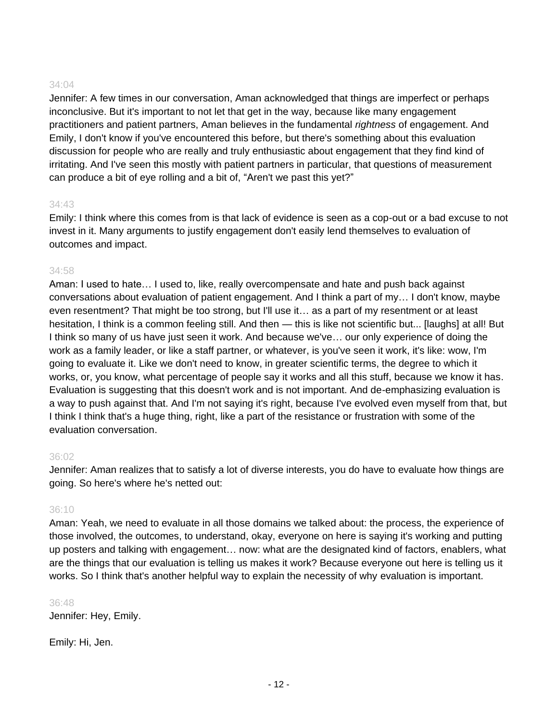Jennifer: A few times in our conversation, Aman acknowledged that things are imperfect or perhaps inconclusive. But it's important to not let that get in the way, because like many engagement practitioners and patient partners, Aman believes in the fundamental *rightness* of engagement. And Emily, I don't know if you've encountered this before, but there's something about this evaluation discussion for people who are really and truly enthusiastic about engagement that they find kind of irritating. And I've seen this mostly with patient partners in particular, that questions of measurement can produce a bit of eye rolling and a bit of, "Aren't we past this yet?"

#### 34:43

Emily: I think where this comes from is that lack of evidence is seen as a cop-out or a bad excuse to not invest in it. Many arguments to justify engagement don't easily lend themselves to evaluation of outcomes and impact.

#### 34:58

Aman: I used to hate… I used to, like, really overcompensate and hate and push back against conversations about evaluation of patient engagement. And I think a part of my… I don't know, maybe even resentment? That might be too strong, but I'll use it… as a part of my resentment or at least hesitation, I think is a common feeling still. And then — this is like not scientific but... [laughs] at all! But I think so many of us have just seen it work. And because we've… our only experience of doing the work as a family leader, or like a staff partner, or whatever, is you've seen it work, it's like: wow, I'm going to evaluate it. Like we don't need to know, in greater scientific terms, the degree to which it works, or, you know, what percentage of people say it works and all this stuff, because we know it has. Evaluation is suggesting that this doesn't work and is not important. And de-emphasizing evaluation is a way to push against that. And I'm not saying it's right, because I've evolved even myself from that, but I think I think that's a huge thing, right, like a part of the resistance or frustration with some of the evaluation conversation.

#### 36:02

Jennifer: Aman realizes that to satisfy a lot of diverse interests, you do have to evaluate how things are going. So here's where he's netted out:

# 36:10

Aman: Yeah, we need to evaluate in all those domains we talked about: the process, the experience of those involved, the outcomes, to understand, okay, everyone on here is saying it's working and putting up posters and talking with engagement… now: what are the designated kind of factors, enablers, what are the things that our evaluation is telling us makes it work? Because everyone out here is telling us it works. So I think that's another helpful way to explain the necessity of why evaluation is important.

#### 36:48

Jennifer: Hey, Emily.

Emily: Hi, Jen.